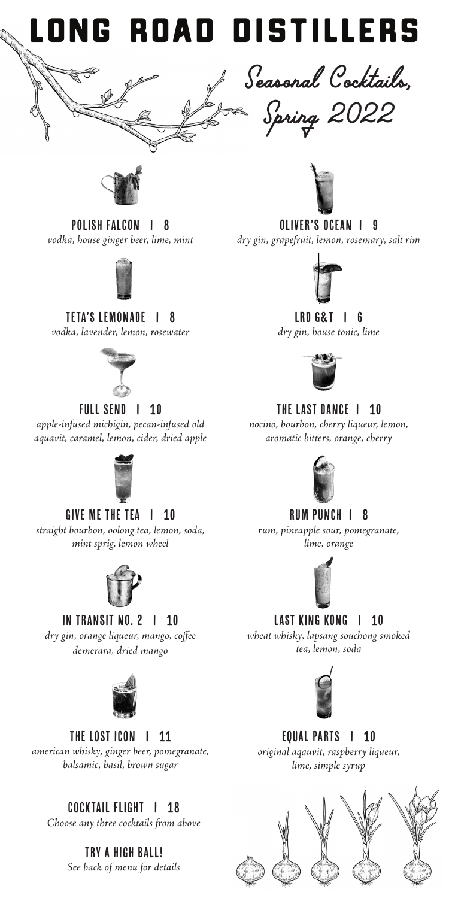



OLIVER's OCEAN I 9

*dry gin, grapefruit, lemon, rosemary, salt rim*



#### LRD G&T I 6

*dry gin, house tonic, lime* 



#### THE LAST DANCE I 10

*nocino, bourbon, cherry liqueur, lemon, aromatic bitters, orange, cherry* 



#### RUM PUNCH I 8

*rum, pineapple sour, pomegranate, lime, orange*



## LAST KING KONG | 10

*wheat whisky, lapsang souchong smoked tea, lemon, soda*



#### EQUAL PARTS | 10

*original aqauvit, raspberry liqueur, lime, simple syrup*



POLISH FALCON I 8 *vodka, house ginger beer, lime, mint*

#### TETA'S LEMONADE I 8

*vodka, lavender, lemon, rosewater*



#### FULL SEND | 10

*apple-infused michigin, pecan-infused old aquavit, caramel, lemon, cider, dried apple*



GIVE ME THE TEA | 10 *straight bourbon, oolong tea, lemon, soda, mint sprig, lemon wheel*



In Transit No. 2 I 10

*dry gin, orange liqueur, mango, coffee demerara, dried mango*



THE LOST ICON | 11

*american whisky, ginger beer, pomegranate, balsamic, basil, brown sugar*

## COCKTAIL FLIGHT I 18

*Choose any three cocktails from above*

Try a High Ball! *See back of menu for details*